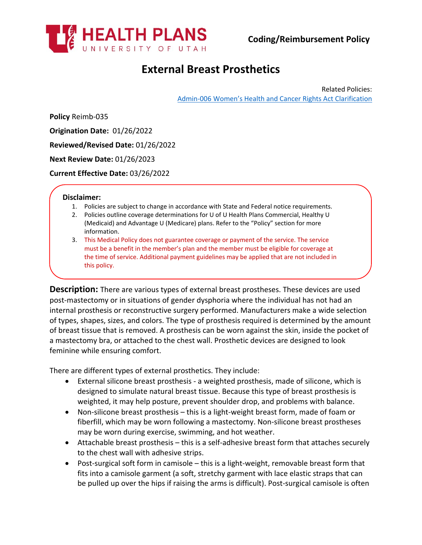

# **External Breast Prosthetics**

Related Policies: [Admin-006 Women's Health and Cancer Rights Act Clarification](https://uhealthplan.utah.edu/medicalpolicy/pdf/admin-006.pdf)

**Policy** Reimb-035

**Origination Date:** 01/26/2022

**Reviewed/Revised Date:** 01/26/2022

**Next Review Date:** 01/26/2023

**Current Effective Date:** 03/26/2022

#### **Disclaimer:**

- 1. Policies are subject to change in accordance with State and Federal notice requirements.
- 2. Policies outline coverage determinations for U of U Health Plans Commercial, Healthy U (Medicaid) and Advantage U (Medicare) plans. Refer to the "Policy" section for more information.
- 3. This Medical Policy does not guarantee coverage or payment of the service. The service must be a benefit in the member's plan and the member must be eligible for coverage at the time of service. Additional payment guidelines may be applied that are not included in this policy.

**Description:** There are various types of external breast prostheses. These devices are used post-mastectomy or in situations of gender dysphoria where the individual has not had an internal prosthesis or reconstructive surgery performed. Manufacturers make a wide selection of types, shapes, sizes, and colors. The type of prosthesis required is determined by the amount of breast tissue that is removed. A prosthesis can be worn against the skin, inside the pocket of a mastectomy bra, or attached to the chest wall. Prosthetic devices are designed to look feminine while ensuring comfort.

There are different types of external prosthetics. They include:

- External silicone breast prosthesis a weighted prosthesis, made of silicone, which is designed to simulate natural breast tissue. Because this type of breast prosthesis is weighted, it may help posture, prevent shoulder drop, and problems with balance.
- Non-silicone breast prosthesis this is a light-weight breast form, made of foam or fiberfill, which may be worn following a mastectomy. Non-silicone breast prostheses may be worn during exercise, swimming, and hot weather.
- Attachable breast prosthesis this is a self-adhesive breast form that attaches securely to the chest wall with adhesive strips.
- Post-surgical soft form in camisole this is a light-weight, removable breast form that fits into a camisole garment (a soft, stretchy garment with lace elastic straps that can be pulled up over the hips if raising the arms is difficult). Post-surgical camisole is often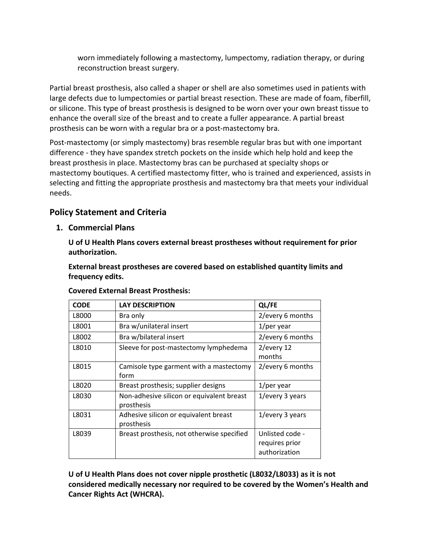worn immediately following a mastectomy, lumpectomy, radiation therapy, or during reconstruction breast surgery.

Partial breast prosthesis, also called a shaper or shell are also sometimes used in patients with large defects due to lumpectomies or partial breast resection. These are made of foam, fiberfill, or silicone. This type of breast prosthesis is designed to be worn over your own breast tissue to enhance the overall size of the breast and to create a fuller appearance. A partial breast prosthesis can be worn with a regular bra or a post-mastectomy bra.

Post-mastectomy (or simply mastectomy) bras resemble regular bras but with one important difference - they have spandex stretch pockets on the inside which help hold and keep the breast prosthesis in place. Mastectomy bras can be purchased at specialty shops or mastectomy boutiques. A certified mastectomy fitter, who is trained and experienced, assists in selecting and fitting the appropriate prosthesis and mastectomy bra that meets your individual needs.

# **Policy Statement and Criteria**

**1. Commercial Plans**

**U of U Health Plans covers external breast prostheses without requirement for prior authorization.**

**External breast prostheses are covered based on established quantity limits and frequency edits.**

| <b>CODE</b> | <b>LAY DESCRIPTION</b>                                  | QL/FE                                              |
|-------------|---------------------------------------------------------|----------------------------------------------------|
| L8000       | Bra only                                                | 2/every 6 months                                   |
| L8001       | Bra w/unilateral insert                                 | $1$ /per year                                      |
| L8002       | Bra w/bilateral insert                                  | 2/every 6 months                                   |
| L8010       | Sleeve for post-mastectomy lymphedema                   | 2/every 12<br>months                               |
| L8015       | Camisole type garment with a mastectomy<br>form         | 2/every 6 months                                   |
| L8020       | Breast prosthesis; supplier designs                     | $1$ /per year                                      |
| L8030       | Non-adhesive silicon or equivalent breast<br>prosthesis | 1/every 3 years                                    |
| L8031       | Adhesive silicon or equivalent breast<br>prosthesis     | 1/every 3 years                                    |
| L8039       | Breast prosthesis, not otherwise specified              | Unlisted code -<br>requires prior<br>authorization |

**U of U Health Plans does not cover nipple prosthetic (L8032/L8033) as it is not considered medically necessary nor required to be covered by the Women's Health and Cancer Rights Act (WHCRA).**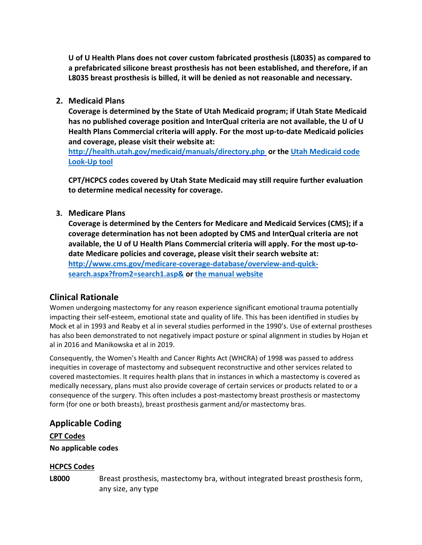**U of U Health Plans does not cover custom fabricated prosthesis (L8035) as compared to a prefabricated silicone breast prosthesis has not been established, and therefore, if an L8035 breast prosthesis is billed, it will be denied as not reasonable and necessary.**

### **2. Medicaid Plans**

**Coverage is determined by the State of Utah Medicaid program; if Utah State Medicaid has no published coverage position and InterQual criteria are not available, the U of U Health Plans Commercial criteria will apply. For the most up-to-date Medicaid policies and coverage, please visit their website at:**

**<http://health.utah.gov/medicaid/manuals/directory.php> or the [Utah Medicaid code](https://health.utah.gov/stplan/lookup/CoverageLookup.php)  [Look-Up tool](https://health.utah.gov/stplan/lookup/CoverageLookup.php)**

**CPT/HCPCS codes covered by Utah State Medicaid may still require further evaluation to determine medical necessity for coverage.**

### **3. Medicare Plans**

**Coverage is determined by the Centers for Medicare and Medicaid Services (CMS); if a coverage determination has not been adopted by CMS and InterQual criteria are not available, the U of U Health Plans Commercial criteria will apply. For the most up-todate Medicare policies and coverage, please visit their search website at: [http://www.cms.gov/medicare-coverage-database/overview-and-quick](http://www.cms.gov/medicare-coverage-database/overview-and-quick-search.aspx?from2=search1.asp&)[search.aspx?from2=search1.asp&](http://www.cms.gov/medicare-coverage-database/overview-and-quick-search.aspx?from2=search1.asp&) or [the manual website](https://www.cms.gov/Regulations-and-Guidance/Guidance/Manuals/Internet-Only-Manuals-IOMs)**

### **Clinical Rationale**

Women undergoing mastectomy for any reason experience significant emotional trauma potentially impacting their self-esteem, emotional state and quality of life. This has been identified in studies by Mock et al in 1993 and Reaby et al in several studies performed in the 1990's. Use of external prostheses has also been demonstrated to not negatively impact posture or spinal alignment in studies by Hojan et al in 2016 and Manikowska et al in 2019.

Consequently, the Women's Health and Cancer Rights Act (WHCRA) of 1998 was passed to address inequities in coverage of mastectomy and subsequent reconstructive and other services related to covered mastectomies. It requires health plans that in instances in which a mastectomy is covered as medically necessary, plans must also provide coverage of certain services or products related to or a consequence of the surgery. This often includes a post-mastectomy breast prosthesis or mastectomy form (for one or both breasts), breast prosthesis garment and/or mastectomy bras.

## **Applicable Coding**

**CPT Codes No applicable codes**

#### **HCPCS Codes**

**L8000** Breast prosthesis, mastectomy bra, without integrated breast prosthesis form, any size, any type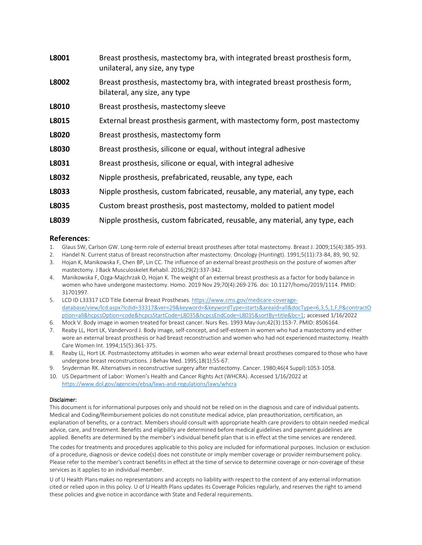| L8001 | Breast prosthesis, mastectomy bra, with integrated breast prosthesis form,<br>unilateral, any size, any type |  |
|-------|--------------------------------------------------------------------------------------------------------------|--|
| L8002 | Breast prosthesis, mastectomy bra, with integrated breast prosthesis form,<br>bilateral, any size, any type  |  |
| L8010 | Breast prosthesis, mastectomy sleeve                                                                         |  |
| L8015 | External breast prosthesis garment, with mastectomy form, post mastectomy                                    |  |
| L8020 | Breast prosthesis, mastectomy form                                                                           |  |
| L8030 | Breast prosthesis, silicone or equal, without integral adhesive                                              |  |
| L8031 | Breast prosthesis, silicone or equal, with integral adhesive                                                 |  |
| L8032 | Nipple prosthesis, prefabricated, reusable, any type, each                                                   |  |
| L8033 | Nipple prosthesis, custom fabricated, reusable, any material, any type, each                                 |  |
| L8035 | Custom breast prosthesis, post mastectomy, molded to patient model                                           |  |
| L8039 | Nipple prosthesis, custom fabricated, reusable, any material, any type, each                                 |  |

#### **References**:

- 1. Glaus SW, Carlson GW. Long-term role of external breast prostheses after total mastectomy. Breast J. 2009;15(4):385-393.
- 2. Handel N. Current status of breast reconstruction after mastectomy. Oncology (Huntingt). 1991;5(11):73-84, 89, 90, 92.
- 3. Hojan K, Manikowska F, Chen BP, Lin CC. The influence of an external breast prosthesis on the posture of women after mastectomy. J Back Musculoskelet Rehabil. 2016;29(2):337-342.
- 4. Manikowska F, Ozga-Majchrzak O, Hojan K. The weight of an external breast prosthesis as a factor for body balance in women who have undergone mastectomy. Homo. 2019 Nov 29;70(4):269-276. doi: 10.1127/homo/2019/1114. PMID: 31701997.
- 5. LCD ID L33317 LCD Title External Breast Prostheses[. https://www.cms.gov/medicare-coverage](https://www.cms.gov/medicare-coverage-database/view/lcd.aspx?lcdid=33317&ver=29&keyword=&keywordType=starts&areaId=all&docType=6,3,5,1,F,P&contractOption=all&hcpcsOption=code&hcpcsStartCode=L8035&hcpcsEndCode=L8035&sortBy=title&bc=1)[database/view/lcd.aspx?lcdid=33317&ver=29&keyword=&keywordType=starts&areaId=all&docType=6,3,5,1,F,P&contractO](https://www.cms.gov/medicare-coverage-database/view/lcd.aspx?lcdid=33317&ver=29&keyword=&keywordType=starts&areaId=all&docType=6,3,5,1,F,P&contractOption=all&hcpcsOption=code&hcpcsStartCode=L8035&hcpcsEndCode=L8035&sortBy=title&bc=1) [ption=all&hcpcsOption=code&hcpcsStartCode=L8035&hcpcsEndCode=L8035&sortBy=title&bc=1;](https://www.cms.gov/medicare-coverage-database/view/lcd.aspx?lcdid=33317&ver=29&keyword=&keywordType=starts&areaId=all&docType=6,3,5,1,F,P&contractOption=all&hcpcsOption=code&hcpcsStartCode=L8035&hcpcsEndCode=L8035&sortBy=title&bc=1) accessed 1/16/2022
- 6. Mock V. Body image in women treated for breast cancer. Nurs Res. 1993 May-Jun;42(3):153-7. PMID: 8506164.
- 7. Reaby LL, Hort LK, Vandervord J. Body image, self-concept, and self-esteem in women who had a mastectomy and either wore an external breast prosthesis or had breast reconstruction and women who had not experienced mastectomy. Health Care Women Int. 1994;15(5):361-375.
- 8. Reaby LL, Hort LK. Postmastectomy attitudes in women who wear external breast prostheses compared to those who have undergone breast reconstructions. J Behav Med. 1995;18(1):55-67.
- 9. Snyderman RK. Alternatives in reconstructive surgery after mastectomy. Cancer. 1980;46(4 Suppl):1053-1058.
- 10. US Department of Labor: Women's Health and Cancer Rights Act (WHCRA). Accessed 1/16/2022 at <https://www.dol.gov/agencies/ebsa/laws-and-regulations/laws/whcra>

#### Disclaimer:

This document is for informational purposes only and should not be relied on in the diagnosis and care of individual patients. Medical and Coding/Reimbursement policies do not constitute medical advice, plan preauthorization, certification, an explanation of benefits, or a contract. Members should consult with appropriate health care providers to obtain needed medical advice, care, and treatment. Benefits and eligibility are determined before medical guidelines and payment guidelines are applied. Benefits are determined by the member's individual benefit plan that is in effect at the time services are rendered.

The codes for treatments and procedures applicable to this policy are included for informational purposes. Inclusion or exclusion of a procedure, diagnosis or device code(s) does not constitute or imply member coverage or provider reimbursement policy. Please refer to the member's contract benefits in effect at the time of service to determine coverage or non-coverage of these services as it applies to an individual member.

U of U Health Plansmakes no representations and accepts no liability with respect to the content of any external information cited or relied upon in this policy. U of U Health Plans updates its Coverage Policies regularly, and reserves the right to amend these policies and give notice in accordance with State and Federal requirements.